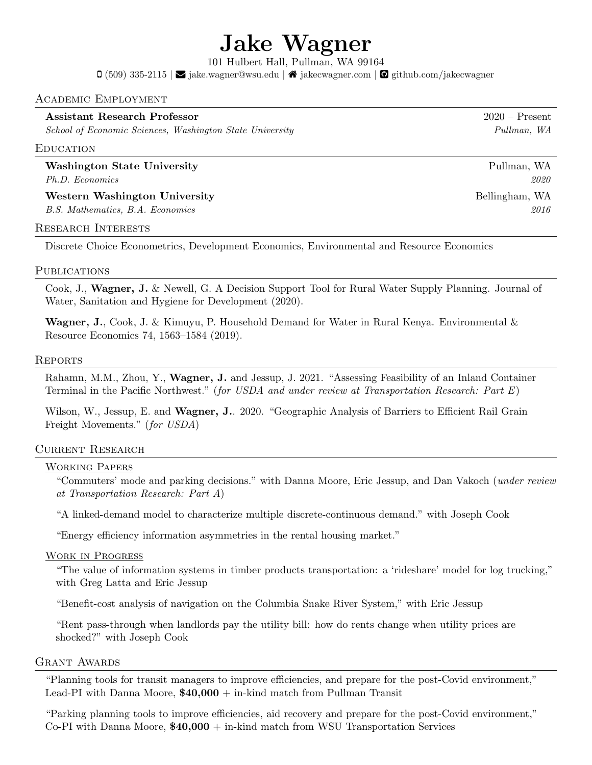# Jake Wagner

101 Hulbert Hall, Pullman, WA 99164

 $\Box$  (509) 335-2115 |  $\Box$  [jake.wagner@wsu.edu](mailto:jake.wagner@wsu.edu) |  $\triangleq$  [jakecwagner.com](https://jakecwagner.com) |  $\Box$  [github.com/jakecwagner](https://github.com/jakecwagner)

## Academic Employment

## Assistant Research Professor 2020 – Present

School of Economic Sciences, Washington State University Pullman, WA

#### **EDUCATION**

Washington State University Pullman, WA Ph.D. Economics 2020

Western Washington University **Bellingham, WA** B.S. Mathematics, B.A. Economics 2016

#### Research Interests

Discrete Choice Econometrics, Development Economics, Environmental and Resource Economics

### **PUBLICATIONS**

Cook, J., Wagner, J. & Newell, G. A Decision Support Tool for Rural Water Supply Planning. Journal of Water, Sanitation and Hygiene for Development (2020).

**Wagner, J.**, Cook, J. & Kimuyu, P. Household Demand for Water in Rural Kenya. Environmental & Resource Economics 74, 1563–1584 (2019).

#### **REPORTS**

Rahamn, M.M., Zhou, Y., Wagner, J. and Jessup, J. 2021. "Assessing Feasibility of an Inland Container Terminal in the Pacific Northwest." (for USDA and under review at Transportation Research: Part E)

Wilson, W., Jessup, E. and Wagner, J.. 2020. "Geographic Analysis of Barriers to Efficient Rail Grain Freight Movements." (for USDA)

## Current Research

## Working Papers

"Commuters' mode and parking decisions." with Danna Moore, Eric Jessup, and Dan Vakoch (under review at Transportation Research: Part A)

"A linked-demand model to characterize multiple discrete-continuous demand." with Joseph Cook

"Energy efficiency information asymmetries in the rental housing market."

#### Work in Progress

"The value of information systems in timber products transportation: a 'rideshare' model for log trucking," with Greg Latta and Eric Jessup

"Benefit-cost analysis of navigation on the Columbia Snake River System," with Eric Jessup

"Rent pass-through when landlords pay the utility bill: how do rents change when utility prices are shocked?" with Joseph Cook

#### GRANT AWARDS

"Planning tools for transit managers to improve efficiencies, and prepare for the post-Covid environment," Lead-PI with Danna Moore,  $$40,000 + \text{in-kind match from Pullman Transit}$ 

"Parking planning tools to improve efficiencies, aid recovery and prepare for the post-Covid environment," Co-PI with Danna Moore,  $$40,000 + in$ -kind match from WSU Transportation Services